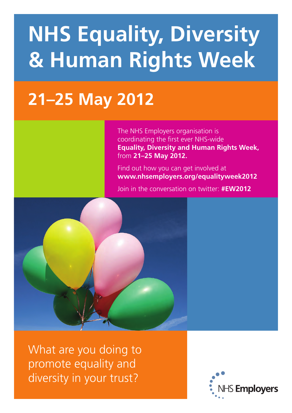# **NHS Equality, Diversity & Human Rights Week**

## **21–25 May 2012**

The NHS Employers organisation is coordinating the first ever NHS-wide **Equality, Diversity and Human Rights Week,**  from **21–25 May 2012.** 

Find out how you can get involved at **www.nhsemployers.org/equalityweek2012**

Join in the conversation on twitter: **#EW2012**



What are you doing to promote equality and diversity in your trust?

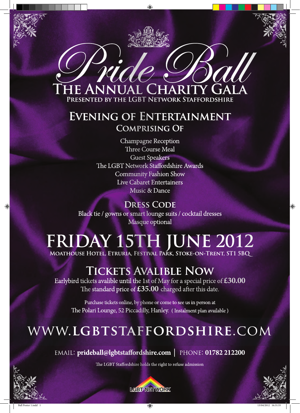

#### **Evening of Entertainment Comprising Of**

Champagne Reception Three Course Meal Guest Speakers The LGBT Network Staffordshire Awards Community Fashion Show Live Cabaret Entertainers Music & Dance

**DRESS CODE** Black tie / gowns or smart lounge suits / cocktail dresses Masque optional

## **Friday 15th JUNE 2012**

**Moathouse Hotel, Etruria, Festival Park, Stoke-on-Trent, ST1 5BQ**

### **Tickets Avalible Now**

Earlybird tickets avalible until the 1st of May for a special price of **£30.00** The standard price of **£35.00** charged after this date.

Purchase tickets online, by phone or come to see us in person at The Polari Lounge, 52 Piccadilly, Hanley. ( Instalment plan available )

## www.**lgbtstaffordshire**.com

EMAIL: **prideball@lgbtstaffordshire.com** | PHONE: **01782 212200**

The LGBT Staffordshire holds the right to refuse admission



◈



 $\bigoplus$